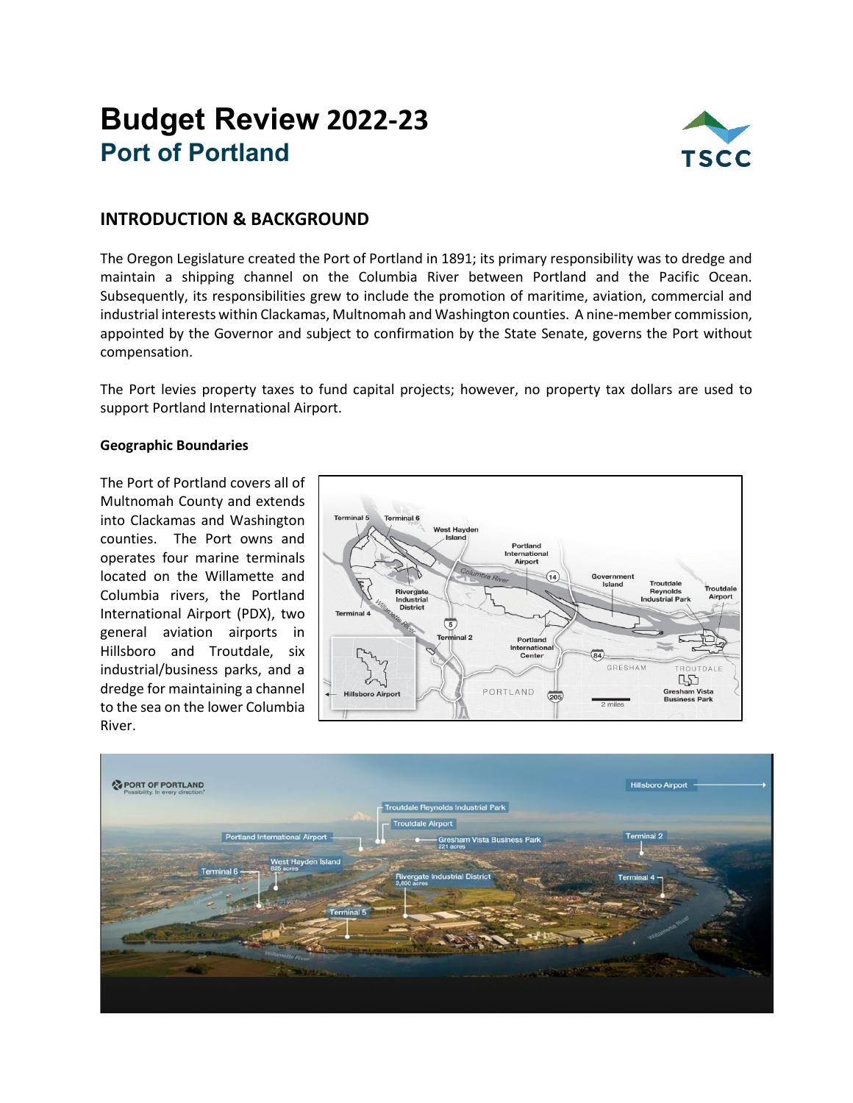# **Budget Review 2022-23 Port of Portland**



## **INTRODUCTION & BACKGROUND**

The Oregon Legislature created the Port of Portland in 1891; its primary responsibility was to dredge and maintain a shipping channel on the Columbia River between Portland and the Pacific Ocean. Subsequently, its responsibilities grew to include the promotion of maritime, aviation, commercial and industrial interests within Clackamas, Multnomah and Washington counties. A nine-member commission, appointed by the Governor and subject to confirmation by the State Senate, governs the Port without compensation.

The Port levies property taxes to fund capital projects; however, no property tax dollars are used to support Portland International Airport.

#### **Geographic Boundaries**

The Port of Portland covers all of Multnomah County and extends into Clackamas and Washington counties. The Port owns and operates four marine terminals located on the Willamette and Columbia rivers, the Portland International Airport (PDX), two general aviation airports in Hillsboro and Troutdale, six industrial/business parks, and a dredge for maintaining a channel to the sea on the lower Columbia River.



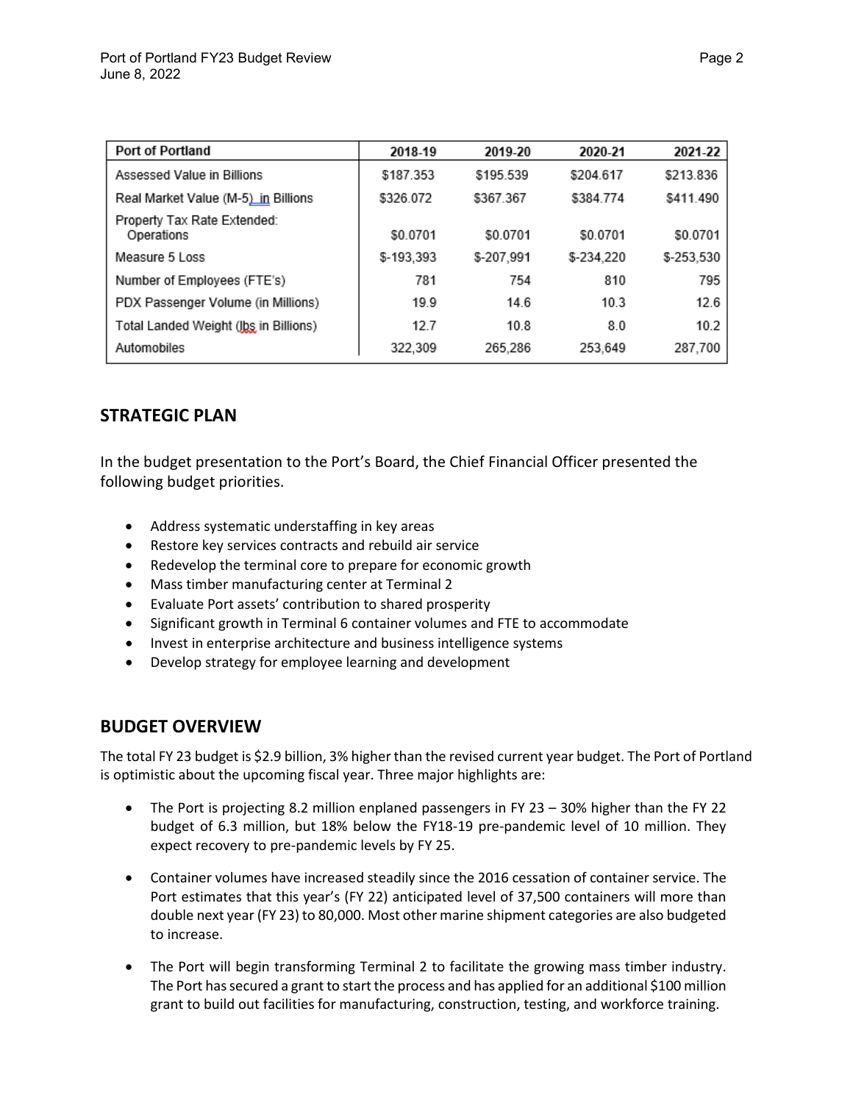| <b>Port of Portland</b>                   | 2018-19    | 2019-20    | 2020-21    | 2021-22    |
|-------------------------------------------|------------|------------|------------|------------|
| Assessed Value in Billions                | \$187.353  | \$195.539  | \$204.617  | \$213.836  |
| Real Market Value (M-5) in Billions       | \$326.072  | \$367.367  | \$384.774  | \$411.490  |
| Property Tax Rate Extended:<br>Operations | \$0.0701   | \$0.0701   | \$0.0701   | \$0.0701   |
| Measure 5 Loss                            | \$-193,393 | \$-207.991 | \$-234.220 | \$-253,530 |
| Number of Employees (FTE's)               | 781        | 754        | 810        | 795        |
| PDX Passenger Volume (in Millions)        | 19.9       | 14.6       | 10.3       | 12.6       |
| Total Landed Weight (Jbs in Billions)     | 12.7       | 10.8       | 8.0        | 10.2       |
| Automobiles                               | 322.309    | 265.286    | 253.649    | 287,700    |

# **STRATEGIC PLAN**

In the budget presentation to the Port's Board, the Chief Financial Officer presented the following budget priorities.

- Address systematic understaffing in key areas
- Restore key services contracts and rebuild air service
- Redevelop the terminal core to prepare for economic growth
- Mass timber manufacturing center at Terminal 2
- Evaluate Port assets' contribution to shared prosperity
- Significant growth in Terminal 6 container volumes and FTE to accommodate
- Invest in enterprise architecture and business intelligence systems
- Develop strategy for employee learning and development

## **BUDGET OVERVIEW**

The total FY 23 budget is \$2.9 billion, 3% higher than the revised current year budget. The Port of Portland is optimistic about the upcoming fiscal year. Three major highlights are:

- The Port is projecting 8.2 million enplaned passengers in FY 23 30% higher than the FY 22 budget of 6.3 million, but 18% below the FY18-19 pre-pandemic level of 10 million. They expect recovery to pre-pandemic levels by FY 25.
- Container volumes have increased steadily since the 2016 cessation of container service. The Port estimates that this year's (FY 22) anticipated level of 37,500 containers will more than double next year (FY 23) to 80,000. Most other marine shipment categories are also budgeted to increase.
- The Port will begin transforming Terminal 2 to facilitate the growing mass timber industry. The Port has secured a grant to start the process and has applied for an additional \$100 million grant to build out facilities for manufacturing, construction, testing, and workforce training.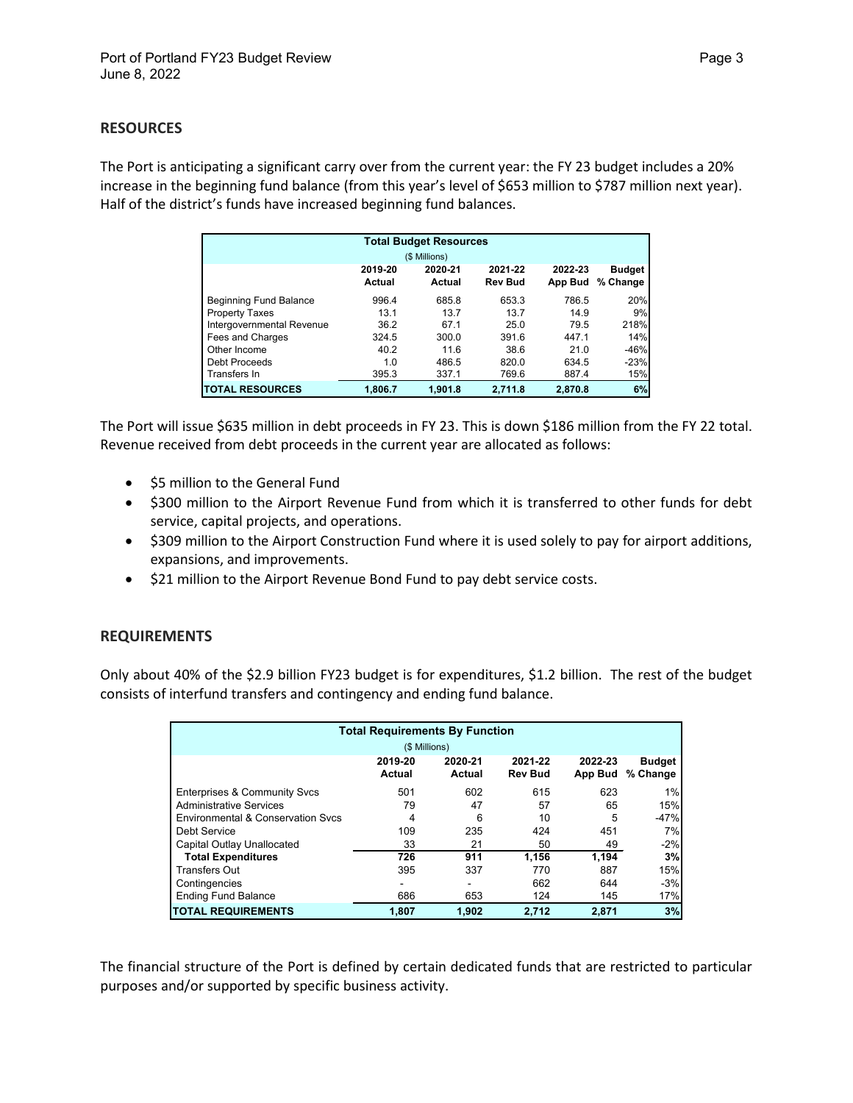#### **RESOURCES**

The Port is anticipating a significant carry over from the current year: the FY 23 budget includes a 20% increase in the beginning fund balance (from this year's level of \$653 million to \$787 million next year). Half of the district's funds have increased beginning fund balances.

| <b>Total Budget Resources</b> |                   |                   |                           |                    |                           |  |  |
|-------------------------------|-------------------|-------------------|---------------------------|--------------------|---------------------------|--|--|
| (\$ Millions)                 |                   |                   |                           |                    |                           |  |  |
|                               | 2019-20<br>Actual | 2020-21<br>Actual | 2021-22<br><b>Rev Bud</b> | 2022-23<br>App Bud | <b>Budget</b><br>% Change |  |  |
| <b>Beginning Fund Balance</b> | 996.4             | 685.8             | 653.3                     | 786.5              | 20%                       |  |  |
| <b>Property Taxes</b>         | 13.1              | 13.7              | 13.7                      | 14.9               | 9%                        |  |  |
| Intergovernmental Revenue     | 36.2              | 67.1              | 25.0                      | 79.5               | 218%                      |  |  |
| Fees and Charges              | 324.5             | 300.0             | 391.6                     | 447.1              | 14%                       |  |  |
| Other Income                  | 40.2              | 11.6              | 38.6                      | 21.0               | $-46%$                    |  |  |
| Debt Proceeds                 | 1.0               | 486.5             | 820.0                     | 634.5              | $-23%$                    |  |  |
| Transfers In                  | 395.3             | 337.1             | 769.6                     | 887.4              | 15%                       |  |  |
| <b>TOTAL RESOURCES</b>        | 1.806.7           | 1.901.8           | 2.711.8                   | 2.870.8            | 6%                        |  |  |

The Port will issue \$635 million in debt proceeds in FY 23. This is down \$186 million from the FY 22 total. Revenue received from debt proceeds in the current year are allocated as follows:

- \$5 million to the General Fund
- \$300 million to the Airport Revenue Fund from which it is transferred to other funds for debt service, capital projects, and operations.
- \$309 million to the Airport Construction Fund where it is used solely to pay for airport additions, expansions, and improvements.
- \$21 million to the Airport Revenue Bond Fund to pay debt service costs.

#### **REQUIREMENTS**

Only about 40% of the \$2.9 billion FY23 budget is for expenditures, \$1.2 billion. The rest of the budget consists of interfund transfers and contingency and ending fund balance.

| <b>Total Requirements By Function</b> |                   |                   |                           |                    |                           |  |  |
|---------------------------------------|-------------------|-------------------|---------------------------|--------------------|---------------------------|--|--|
| (\$ Millions)                         |                   |                   |                           |                    |                           |  |  |
|                                       | 2019-20<br>Actual | 2020-21<br>Actual | 2021-22<br><b>Rev Bud</b> | 2022-23<br>App Bud | <b>Budget</b><br>% Change |  |  |
| Enterprises & Community Svcs          | 501               | 602               | 615                       | 623                | 1%                        |  |  |
| <b>Administrative Services</b>        | 79                | 47                | 57                        | 65                 | 15%                       |  |  |
| Environmental & Conservation Sycs     | 4                 | 6                 | 10                        | 5                  | $-47%$                    |  |  |
| Debt Service                          | 109               | 235               | 424                       | 451                | 7%                        |  |  |
| Capital Outlay Unallocated            | 33                | 21                | 50                        | 49                 | $-2%$                     |  |  |
| <b>Total Expenditures</b>             | 726               | 911               | 1.156                     | 1.194              | 3%                        |  |  |
| <b>Transfers Out</b>                  | 395               | 337               | 770                       | 887                | 15%                       |  |  |
| Contingencies                         |                   |                   | 662                       | 644                | $-3%$                     |  |  |
| <b>Ending Fund Balance</b>            | 686               | 653               | 124                       | 145                | 17%                       |  |  |
| <b>TOTAL REQUIREMENTS</b>             | 1.807             | 1.902             | 2.712                     | 2.871              | 3%                        |  |  |

The financial structure of the Port is defined by certain dedicated funds that are restricted to particular purposes and/or supported by specific business activity.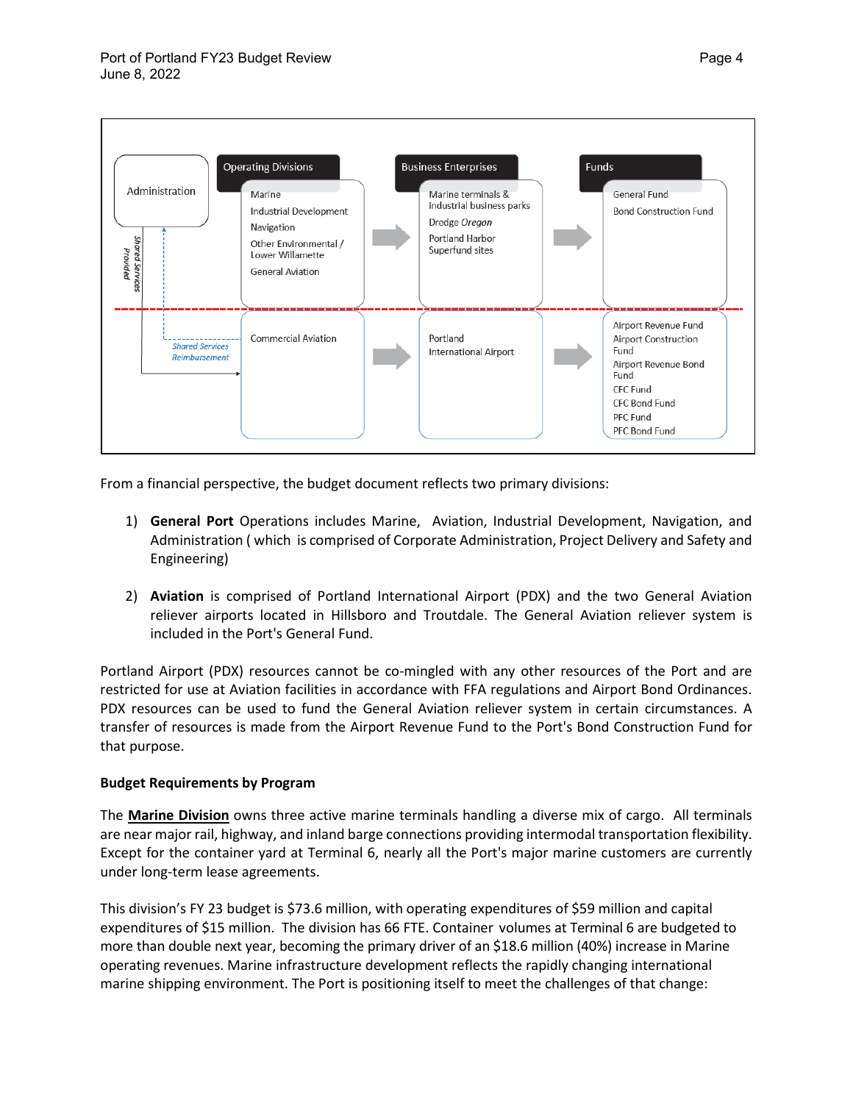

From a financial perspective, the budget document reflects two primary divisions:

- 1) **General Port** Operations includes Marine, Aviation, Industrial Development, Navigation, and Administration ( which is comprised of Corporate Administration, Project Delivery and Safety and Engineering)
- 2) **Aviation** is comprised of Portland International Airport (PDX) and the two General Aviation reliever airports located in Hillsboro and Troutdale. The General Aviation reliever system is included in the Port's General Fund.

Portland Airport (PDX) resources cannot be co-mingled with any other resources of the Port and are restricted for use at Aviation facilities in accordance with FFA regulations and Airport Bond Ordinances. PDX resources can be used to fund the General Aviation reliever system in certain circumstances. A transfer of resources is made from the Airport Revenue Fund to the Port's Bond Construction Fund for that purpose.

#### **Budget Requirements by Program**

The **Marine Division** owns three active marine terminals handling a diverse mix of cargo. All terminals are near major rail, highway, and inland barge connections providing intermodal transportation flexibility. Except for the container yard at Terminal 6, nearly all the Port's major marine customers are currently under long-term lease agreements.

This division's FY 23 budget is \$73.6 million, with operating expenditures of \$59 million and capital expenditures of \$15 million. The division has 66 FTE. Container volumes at Terminal 6 are budgeted to more than double next year, becoming the primary driver of an \$18.6 million (40%) increase in Marine operating revenues. Marine infrastructure development reflects the rapidly changing international marine shipping environment. The Port is positioning itself to meet the challenges of that change: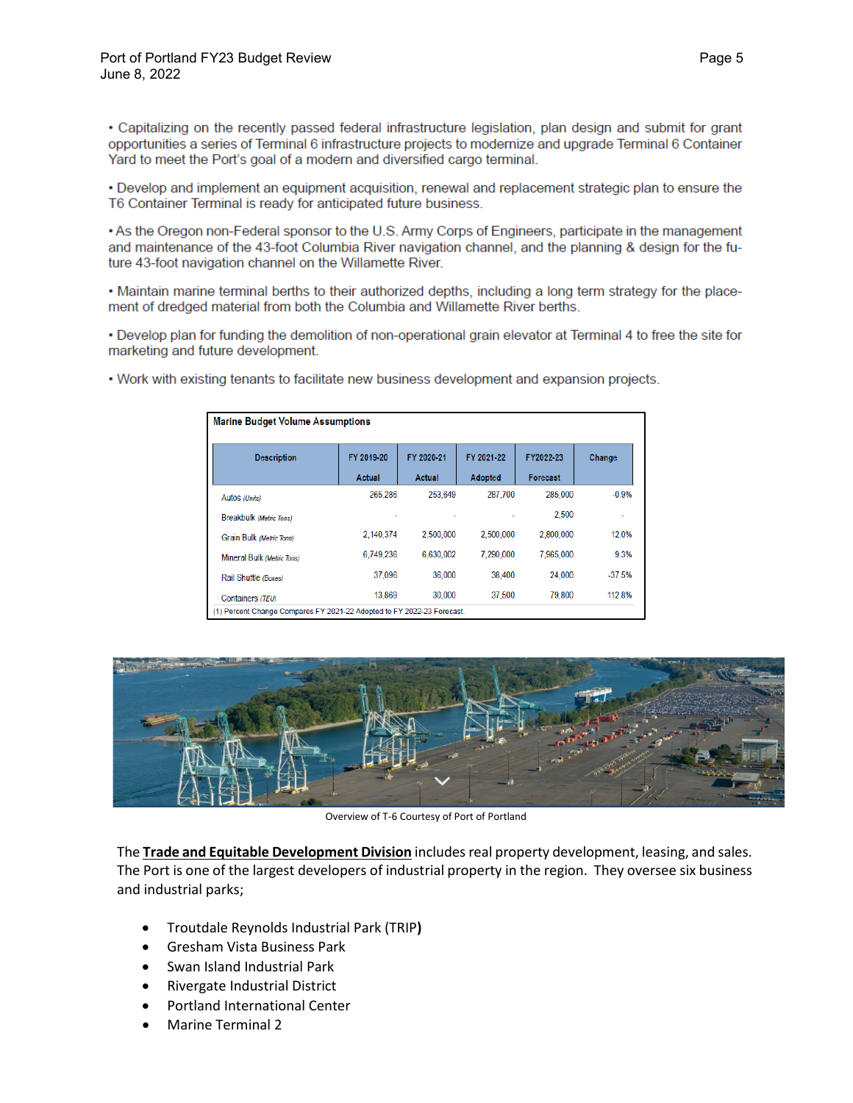• Capitalizing on the recently passed federal infrastructure legislation, plan design and submit for grant opportunities a series of Terminal 6 infrastructure projects to modernize and upgrade Terminal 6 Container Yard to meet the Port's goal of a modern and diversified cargo terminal.

• Develop and implement an equipment acquisition, renewal and replacement strategic plan to ensure the T6 Container Terminal is ready for anticipated future business.

• As the Oregon non-Federal sponsor to the U.S. Army Corps of Engineers, participate in the management and maintenance of the 43-foot Columbia River navigation channel, and the planning & design for the future 43-foot navigation channel on the Willamette River.

. Maintain marine terminal berths to their authorized depths, including a long term strategy for the placement of dredged material from both the Columbia and Willamette River berths.

• Develop plan for funding the demolition of non-operational grain elevator at Terminal 4 to free the site for marketing and future development.

| <b>Description</b>         | FY 2019-20 | FY 2020-21 | FY 2021-22     | FY2022-23 | Change   |
|----------------------------|------------|------------|----------------|-----------|----------|
|                            | Actual     | Actual     | <b>Adopted</b> | Forecast  |          |
| Autos (Units)              | 265.286    | 253.649    | 287.700        | 285.000   | $-0.9%$  |
| Breakbulk (Metric Tons)    |            |            |                | 2,500     |          |
| Grain Bulk (Metric Tons)   | 2.140.374  | 2,500,000  | 2,500,000      | 2,800,000 | 12.0%    |
| Mineral Bulk (Metric Tons) | 6.749.236  | 6.630.002  | 7.290.000      | 7.965.000 | 9.3%     |
| Rail Shuttle (Boxes)       | 37.096     | 36,000     | 38,400         | 24,000    | $-37.5%$ |
| Containers (TEU)           | 13.869     | 30.000     | 37.500         | 79.800    | 112.8%   |

. Work with existing tenants to facilitate new business development and expansion projects.



Overview of T-6 Courtesy of Port of Portland

The **Trade and Equitable Development Division** includes real property development, leasing, and sales. The Port is one of the largest developers of industrial property in the region. They oversee six business and industrial parks;

- Troutdale Reynolds Industrial Park (TRIP**)**
- Gresham Vista Business Park
- Swan Island Industrial Park
- Rivergate Industrial District
- Portland International Center
- Marine Terminal 2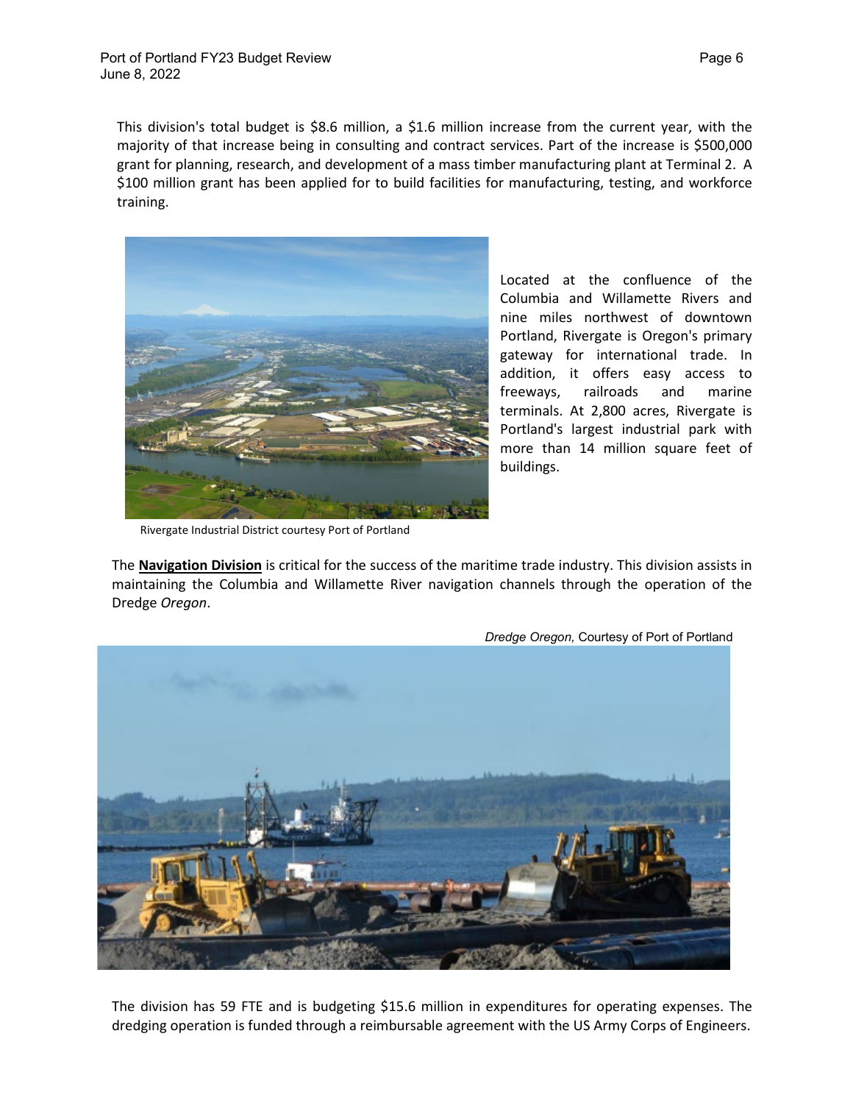This division's total budget is \$8.6 million, a \$1.6 million increase from the current year, with the majority of that increase being in consulting and contract services. Part of the increase is \$500,000 grant for planning, research, and development of a mass timber manufacturing plant at Terminal 2. A \$100 million grant has been applied for to build facilities for manufacturing, testing, and workforce training.



Located at the confluence of the Columbia and Willamette Rivers and nine miles northwest of downtown Portland, Rivergate is Oregon's primary gateway for international trade. In addition, it offers easy access to freeways, railroads and marine terminals. At 2,800 acres, Rivergate is Portland's largest industrial park with more than 14 million square feet of buildings.

Rivergate Industrial District courtesy Port of Portland

The **Navigation Division** is critical for the success of the maritime trade industry. This division assists in maintaining the Columbia and Willamette River navigation channels through the operation of the Dredge *Oregon*.



The division has 59 FTE and is budgeting \$15.6 million in expenditures for operating expenses. The dredging operation is funded through a reimbursable agreement with the US Army Corps of Engineers.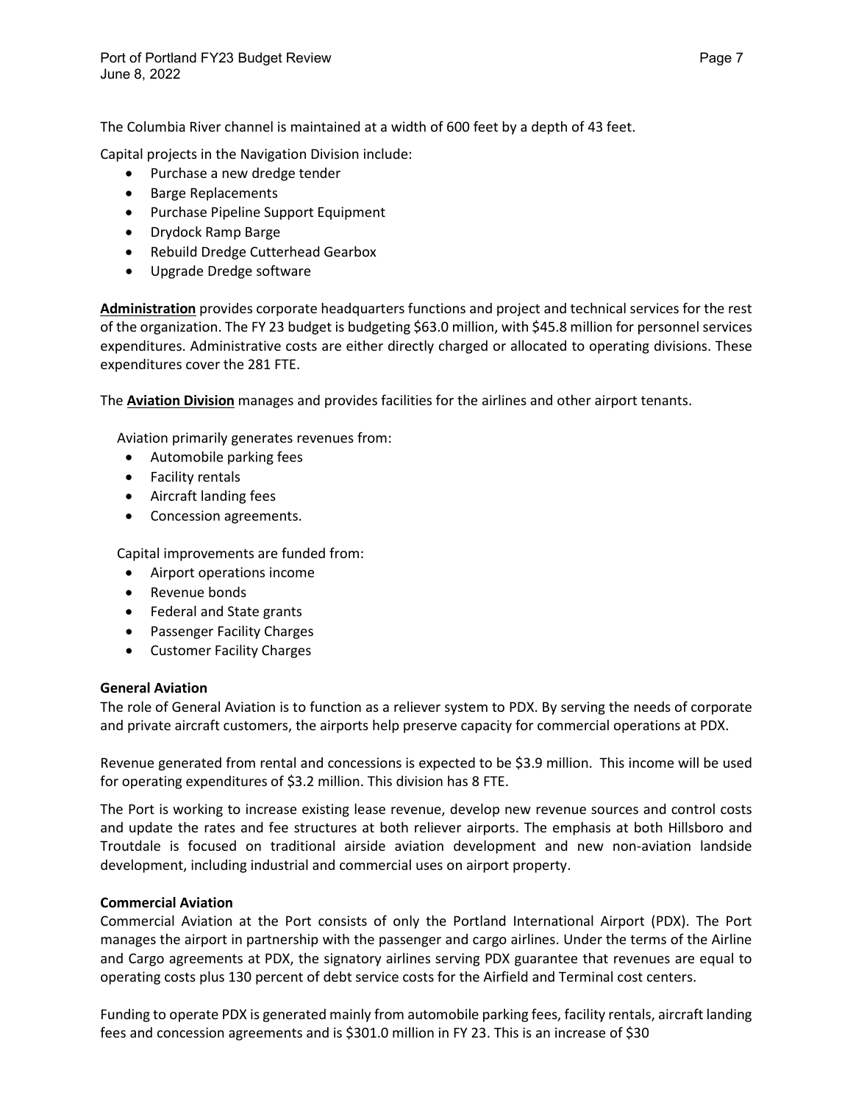The Columbia River channel is maintained at a width of 600 feet by a depth of 43 feet.

Capital projects in the Navigation Division include:

- Purchase a new dredge tender
- Barge Replacements
- Purchase Pipeline Support Equipment
- Drydock Ramp Barge
- Rebuild Dredge Cutterhead Gearbox
- Upgrade Dredge software

**Administration** provides corporate headquarters functions and project and technical services for the rest of the organization. The FY 23 budget is budgeting \$63.0 million, with \$45.8 million for personnel services expenditures. Administrative costs are either directly charged or allocated to operating divisions. These expenditures cover the 281 FTE.

The **Aviation Division** manages and provides facilities for the airlines and other airport tenants.

Aviation primarily generates revenues from:

- Automobile parking fees
- Facility rentals
- Aircraft landing fees
- Concession agreements.

Capital improvements are funded from:

- Airport operations income
- Revenue bonds
- Federal and State grants
- Passenger Facility Charges
- Customer Facility Charges

#### **General Aviation**

The role of General Aviation is to function as a reliever system to PDX. By serving the needs of corporate and private aircraft customers, the airports help preserve capacity for commercial operations at PDX.

Revenue generated from rental and concessions is expected to be \$3.9 million. This income will be used for operating expenditures of \$3.2 million. This division has 8 FTE.

The Port is working to increase existing lease revenue, develop new revenue sources and control costs and update the rates and fee structures at both reliever airports. The emphasis at both Hillsboro and Troutdale is focused on traditional airside aviation development and new non-aviation landside development, including industrial and commercial uses on airport property.

#### **Commercial Aviation**

Commercial Aviation at the Port consists of only the Portland International Airport (PDX). The Port manages the airport in partnership with the passenger and cargo airlines. Under the terms of the Airline and Cargo agreements at PDX, the signatory airlines serving PDX guarantee that revenues are equal to operating costs plus 130 percent of debt service costs for the Airfield and Terminal cost centers.

Funding to operate PDX is generated mainly from automobile parking fees, facility rentals, aircraft landing fees and concession agreements and is \$301.0 million in FY 23. This is an increase of \$30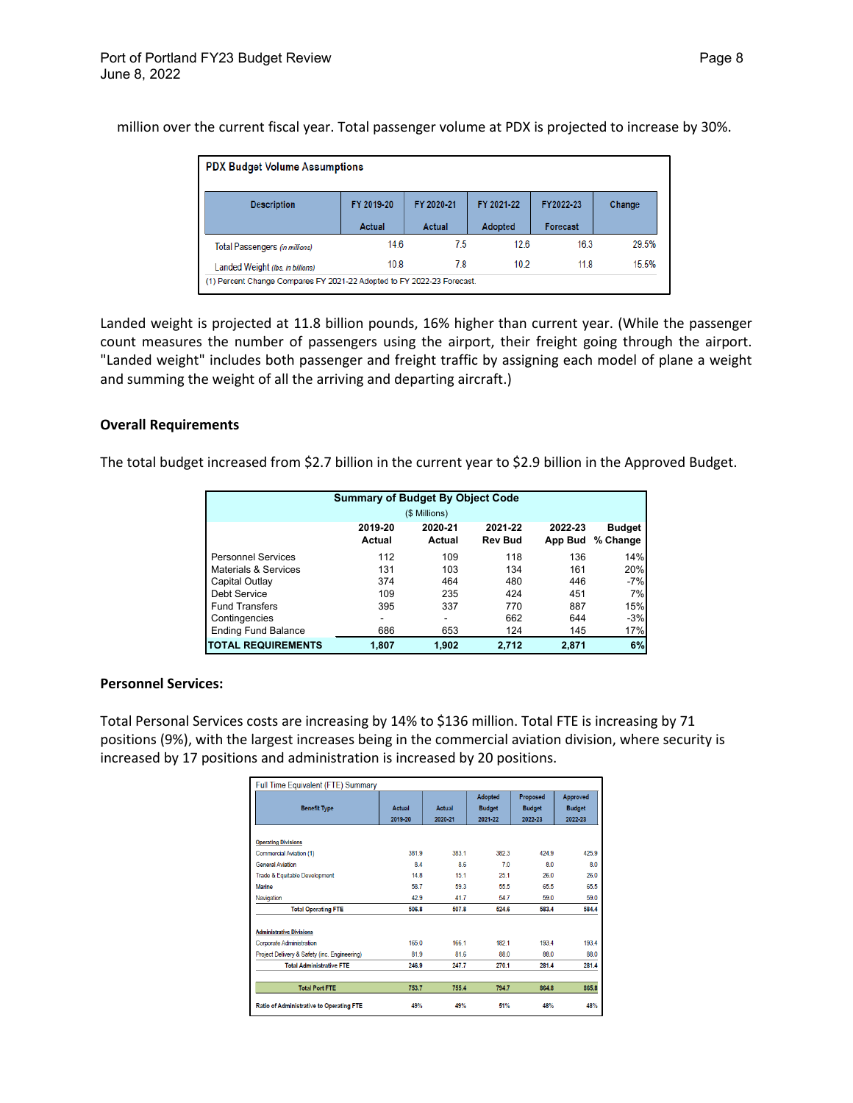million over the current fiscal year. Total passenger volume at PDX is projected to increase by 30%.

| <b>PDX Budget Volume Assumptions</b>                                   |            |            |            |                 |        |  |  |
|------------------------------------------------------------------------|------------|------------|------------|-----------------|--------|--|--|
| <b>Description</b>                                                     | FY 2019-20 | FY 2020-21 | FY 2021-22 | FY2022-23       | Change |  |  |
|                                                                        | Actual     | Actual     | Adopted    | <b>Forecast</b> |        |  |  |
| Total Passengers (in millions)                                         | 14.6       | 7.5        | 126        | 16.3            | 29.5%  |  |  |
| Landed Weight (Ibs. in billions)                                       | 10.8       | 7.8        | 10.2       | 11.8            | 15.5%  |  |  |
| (1) Percent Change Compares FY 2021-22 Adopted to FY 2022-23 Forecast. |            |            |            |                 |        |  |  |

Landed weight is projected at 11.8 billion pounds, 16% higher than current year. (While the passenger count measures the number of passengers using the airport, their freight going through the airport. "Landed weight" includes both passenger and freight traffic by assigning each model of plane a weight and summing the weight of all the arriving and departing aircraft.)

#### **Overall Requirements**

The total budget increased from \$2.7 billion in the current year to \$2.9 billion in the Approved Budget.

| <b>Summary of Budget By Object Code</b><br>(\$ Millions) |                   |                          |                           |                    |                           |
|----------------------------------------------------------|-------------------|--------------------------|---------------------------|--------------------|---------------------------|
|                                                          | 2019-20<br>Actual | 2020-21<br>Actual        | 2021-22<br><b>Rev Bud</b> | 2022-23<br>App Bud | <b>Budget</b><br>% Change |
| <b>Personnel Services</b>                                | 112               | 109                      | 118                       | 136                | 14%                       |
| Materials & Services                                     | 131               | 103                      | 134                       | 161                | 20%                       |
| Capital Outlay                                           | 374               | 464                      | 480                       | 446                | $-7%$                     |
| Debt Service                                             | 109               | 235                      | 424                       | 451                | 7%                        |
| <b>Fund Transfers</b>                                    | 395               | 337                      | 770                       | 887                | 15%                       |
| Contingencies                                            |                   | $\overline{\phantom{a}}$ | 662                       | 644                | $-3%$                     |
| <b>Ending Fund Balance</b>                               | 686               | 653                      | 124                       | 145                | 17%                       |
| <b>ITOTAL REQUIREMENTS</b>                               | 1,807             | 1,902                    | 2,712                     | 2,871              | 6%                        |

#### **Personnel Services:**

Total Personal Services costs are increasing by 14% to \$136 million. Total FTE is increasing by 71 positions (9%), with the largest increases being in the commercial aviation division, where security is increased by 17 positions and administration is increased by 20 positions.

| Full Time Equivalent (FTE) Summary           |         |         |                                 |                           |                           |
|----------------------------------------------|---------|---------|---------------------------------|---------------------------|---------------------------|
| <b>Benefit Type</b>                          | Actual  | Actual  | <b>Adopted</b><br><b>Budget</b> | Proposed<br><b>Budget</b> | Approved<br><b>Budget</b> |
|                                              | 2019-20 | 2020-21 | 2021-22                         | 2022-23                   | 2022-23                   |
| <b>Operating Divisions</b>                   |         |         |                                 |                           |                           |
| Commercial Aviation (1)                      | 3819    | 3831    | 3823                            | 4249                      | 425.9                     |
| <b>General Aviation</b>                      | 84      | 86      | 70                              | 80                        | 8.0                       |
| Trade & Equitable Development                | 148     | 15.1    | 251                             | 26.0                      | 26.0                      |
| <b>Marine</b>                                | 587     | 593     | 555                             | 655                       | 655                       |
| Navigation                                   | 42.9    | 41.7    | 54.7                            | 59.0                      | 59.0                      |
| <b>Total Operating FTE</b>                   | 506.8   | 507.8   | 524.6                           | 583.4                     | 584.4                     |
| <b>Administrative Divisions</b>              |         |         |                                 |                           |                           |
| <b>Corporate Administration</b>              | 1650    | 166 1   | 1821                            | 1934                      | 1934                      |
| Project Delivery & Safety (inc. Engineering) | 81.9    | 81.6    | 88.0                            | 88.0                      | 88.0                      |
| <b>Total Administrative FTE</b>              | 246.9   | 247.7   | 270.1                           | 281.4                     | 281.4                     |
| <b>Total Port FTE</b>                        | 753.7   | 755.4   | 794.7                           | 864.8                     | 865.8                     |
| Ratio of Administrative to Operating FTE     | 49%     | 49%     | 51%                             | 48%                       | 48%                       |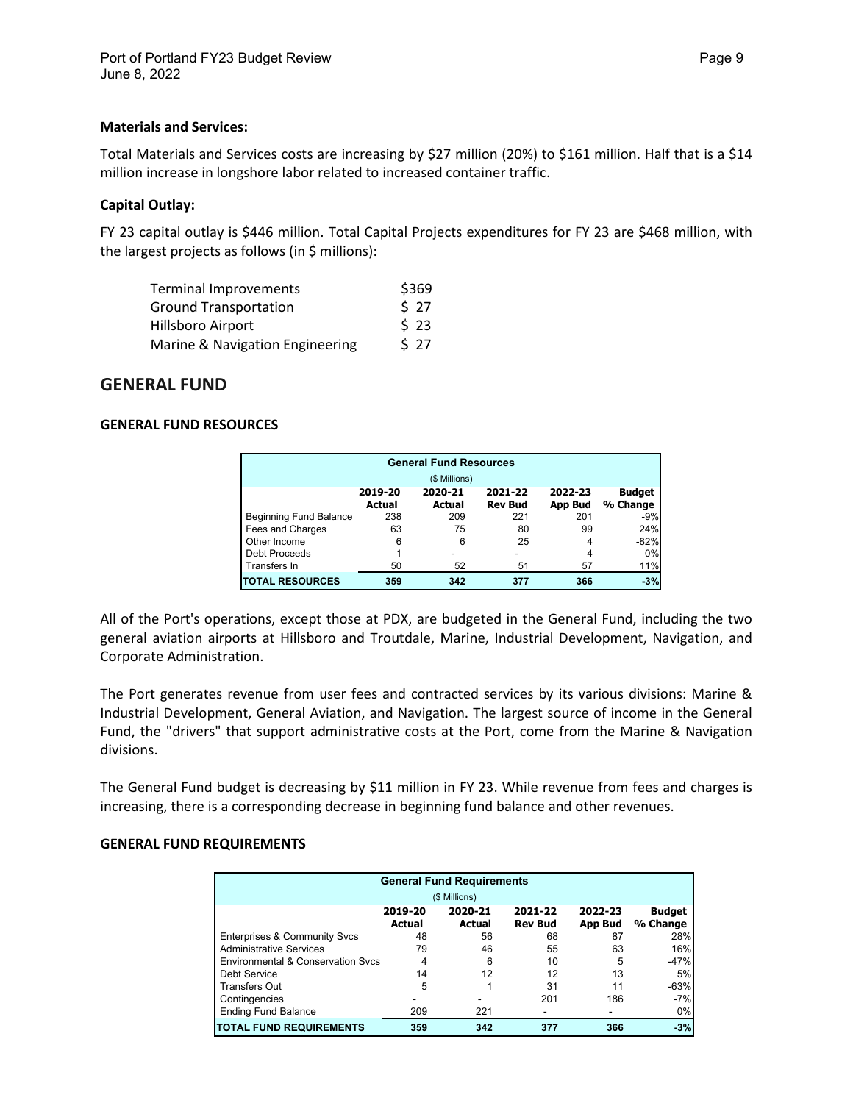#### **Materials and Services:**

Total Materials and Services costs are increasing by \$27 million (20%) to \$161 million. Half that is a \$14 million increase in longshore labor related to increased container traffic.

#### **Capital Outlay:**

FY 23 capital outlay is \$446 million. Total Capital Projects expenditures for FY 23 are \$468 million, with the largest projects as follows (in \$ millions):

| Terminal Improvements           | \$369 |
|---------------------------------|-------|
| <b>Ground Transportation</b>    | \$27  |
| Hillsboro Airport               | \$23  |
| Marine & Navigation Engineering | 527   |

## **GENERAL FUND**

#### **GENERAL FUND RESOURCES**

| <b>General Fund Resources</b> |                   |                   |                           |                           |                           |  |  |
|-------------------------------|-------------------|-------------------|---------------------------|---------------------------|---------------------------|--|--|
|                               |                   | (\$ Millions)     |                           |                           |                           |  |  |
|                               | 2019-20<br>Actual | 2020-21<br>Actual | 2021-22<br><b>Rev Bud</b> | 2022-23<br><b>App Bud</b> | <b>Budget</b><br>% Change |  |  |
| <b>Beginning Fund Balance</b> | 238               | 209               | 221                       | 201                       | $-9%$                     |  |  |
| Fees and Charges              | 63                | 75                | 80                        | 99                        | 24%                       |  |  |
| Other Income                  | 6                 | 6                 | 25                        | 4                         | $-82%$                    |  |  |
| Debt Proceeds                 |                   |                   |                           | 4                         | 0%                        |  |  |
| Transfers In                  | 50                | 52                | 51                        | 57                        | 11%                       |  |  |
| <b>TOTAL RESOURCES</b>        | 359               | 342               | 377                       | 366                       | $-3%$                     |  |  |

All of the Port's operations, except those at PDX, are budgeted in the General Fund, including the two general aviation airports at Hillsboro and Troutdale, Marine, Industrial Development, Navigation, and Corporate Administration.

The Port generates revenue from user fees and contracted services by its various divisions: Marine & Industrial Development, General Aviation, and Navigation. The largest source of income in the General Fund, the "drivers" that support administrative costs at the Port, come from the Marine & Navigation divisions.

The General Fund budget is decreasing by \$11 million in FY 23. While revenue from fees and charges is increasing, there is a corresponding decrease in beginning fund balance and other revenues.

#### **GENERAL FUND REQUIREMENTS**

| <b>General Fund Requirements</b>        |                          |                          |                           |                    |                           |  |  |  |
|-----------------------------------------|--------------------------|--------------------------|---------------------------|--------------------|---------------------------|--|--|--|
|                                         | (\$ Millions)            |                          |                           |                    |                           |  |  |  |
|                                         | 2019-20<br><b>Actual</b> | 2020-21<br><b>Actual</b> | 2021-22<br><b>Rev Bud</b> | 2022-23<br>App Bud | <b>Budget</b><br>% Change |  |  |  |
| <b>Enterprises &amp; Community Svcs</b> | 48                       | 56                       | 68                        | 87                 | 28%                       |  |  |  |
| <b>Administrative Services</b>          | 79                       | 46                       | 55                        | 63                 | 16%                       |  |  |  |
| Environmental & Conservation Sycs       | 4                        | 6                        | 10                        | 5                  | $-47%$                    |  |  |  |
| Debt Service                            | 14                       | 12                       | 12                        | 13                 | 5%                        |  |  |  |
| <b>Transfers Out</b>                    | 5                        |                          | 31                        | 11                 | $-63%$                    |  |  |  |
| Contingencies                           |                          |                          | 201                       | 186                | $-7%$                     |  |  |  |
| <b>Ending Fund Balance</b>              | 209                      | 221                      |                           |                    | 0%                        |  |  |  |
| <b>ITOTAL FUND REQUIREMENTS</b>         | 359                      | 342                      | 377                       | 366                | $-3%$                     |  |  |  |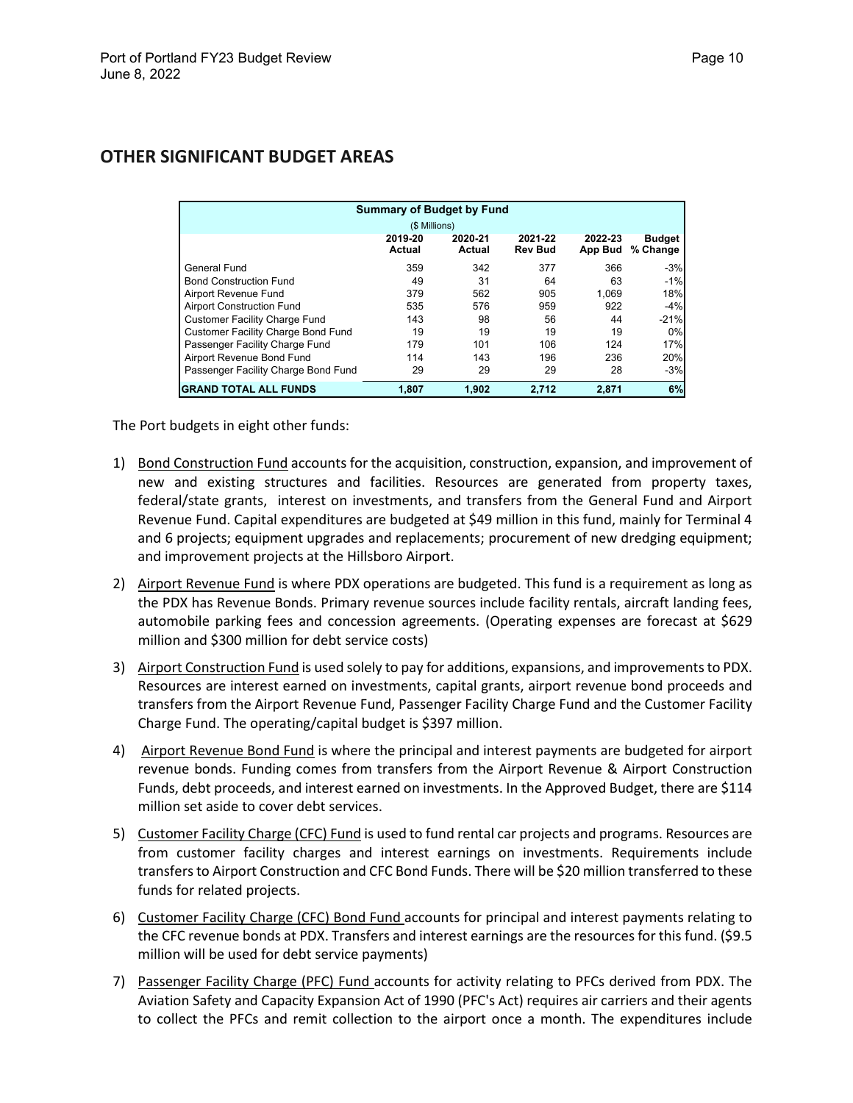| <b>Summary of Budget by Fund</b>          |                          |                   |                           |                    |                           |  |
|-------------------------------------------|--------------------------|-------------------|---------------------------|--------------------|---------------------------|--|
| (\$ Millions)                             |                          |                   |                           |                    |                           |  |
|                                           | 2019-20<br><b>Actual</b> | 2020-21<br>Actual | 2021-22<br><b>Rev Bud</b> | 2022-23<br>App Bud | <b>Budget</b><br>% Change |  |
| General Fund                              | 359                      | 342               | 377                       | 366                | $-3%$                     |  |
| <b>Bond Construction Fund</b>             | 49                       | 31                | 64                        | 63                 | $-1%$                     |  |
| Airport Revenue Fund                      | 379                      | 562               | 905                       | 1.069              | 18%                       |  |
| <b>Airport Construction Fund</b>          | 535                      | 576               | 959                       | 922                | $-4%$                     |  |
| <b>Customer Facility Charge Fund</b>      | 143                      | 98                | 56                        | 44                 | $-21%$                    |  |
| <b>Customer Facility Charge Bond Fund</b> | 19                       | 19                | 19                        | 19                 | 0%                        |  |
| Passenger Facility Charge Fund            | 179                      | 101               | 106                       | 124                | 17%                       |  |
| Airport Revenue Bond Fund                 | 114                      | 143               | 196                       | 236                | 20%                       |  |
| Passenger Facility Charge Bond Fund       | 29                       | 29                | 29                        | 28                 | $-3%$                     |  |
| <b>GRAND TOTAL ALL FUNDS</b>              | 1,807                    | 1.902             | 2.712                     | 2,871              | 6%                        |  |

## **OTHER SIGNIFICANT BUDGET AREAS**

The Port budgets in eight other funds:

- 1) Bond Construction Fund accounts for the acquisition, construction, expansion, and improvement of new and existing structures and facilities. Resources are generated from property taxes, federal/state grants, interest on investments, and transfers from the General Fund and Airport Revenue Fund. Capital expenditures are budgeted at \$49 million in this fund, mainly for Terminal 4 and 6 projects; equipment upgrades and replacements; procurement of new dredging equipment; and improvement projects at the Hillsboro Airport.
- 2) Airport Revenue Fund is where PDX operations are budgeted. This fund is a requirement as long as the PDX has Revenue Bonds. Primary revenue sources include facility rentals, aircraft landing fees, automobile parking fees and concession agreements. (Operating expenses are forecast at \$629 million and \$300 million for debt service costs)
- 3) Airport Construction Fund is used solely to pay for additions, expansions, and improvements to PDX. Resources are interest earned on investments, capital grants, airport revenue bond proceeds and transfers from the Airport Revenue Fund, Passenger Facility Charge Fund and the Customer Facility Charge Fund. The operating/capital budget is \$397 million.
- 4) Airport Revenue Bond Fund is where the principal and interest payments are budgeted for airport revenue bonds. Funding comes from transfers from the Airport Revenue & Airport Construction Funds, debt proceeds, and interest earned on investments. In the Approved Budget, there are \$114 million set aside to cover debt services.
- 5) Customer Facility Charge (CFC) Fund is used to fund rental car projects and programs. Resources are from customer facility charges and interest earnings on investments. Requirements include transfersto Airport Construction and CFC Bond Funds. There will be \$20 million transferred to these funds for related projects.
- 6) Customer Facility Charge (CFC) Bond Fund accounts for principal and interest payments relating to the CFC revenue bonds at PDX. Transfers and interest earnings are the resources for this fund. (\$9.5 million will be used for debt service payments)
- 7) Passenger Facility Charge (PFC) Fund accounts for activity relating to PFCs derived from PDX. The Aviation Safety and Capacity Expansion Act of 1990 (PFC's Act) requires air carriers and their agents to collect the PFCs and remit collection to the airport once a month. The expenditures include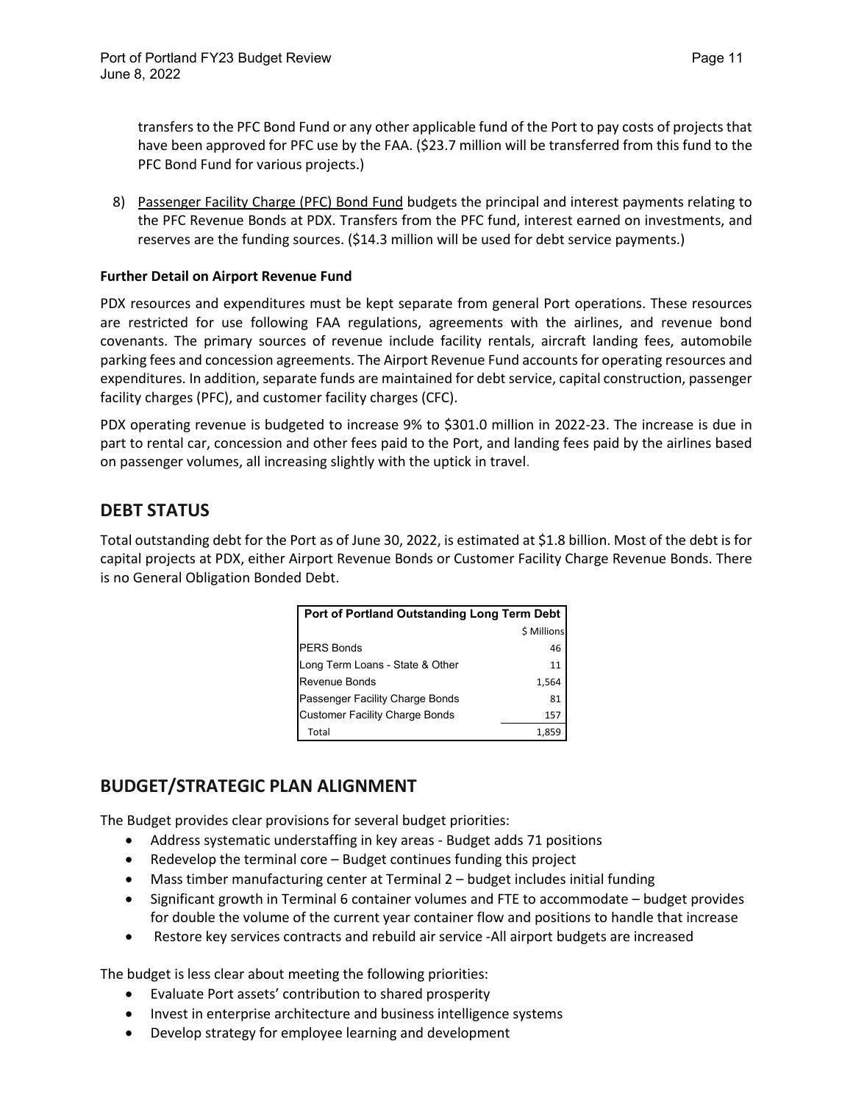transfers to the PFC Bond Fund or any other applicable fund of the Port to pay costs of projects that have been approved for PFC use by the FAA. (\$23.7 million will be transferred from this fund to the PFC Bond Fund for various projects.)

8) Passenger Facility Charge (PFC) Bond Fund budgets the principal and interest payments relating to the PFC Revenue Bonds at PDX. Transfers from the PFC fund, interest earned on investments, and reserves are the funding sources. (\$14.3 million will be used for debt service payments.)

#### **Further Detail on Airport Revenue Fund**

PDX resources and expenditures must be kept separate from general Port operations. These resources are restricted for use following FAA regulations, agreements with the airlines, and revenue bond covenants. The primary sources of revenue include facility rentals, aircraft landing fees, automobile parking fees and concession agreements. The Airport Revenue Fund accounts for operating resources and expenditures. In addition, separate funds are maintained for debt service, capital construction, passenger facility charges (PFC), and customer facility charges (CFC).

PDX operating revenue is budgeted to increase 9% to \$301.0 million in 2022-23. The increase is due in part to rental car, concession and other fees paid to the Port, and landing fees paid by the airlines based on passenger volumes, all increasing slightly with the uptick in travel.

# **DEBT STATUS**

Total outstanding debt for the Port as of June 30, 2022, is estimated at \$1.8 billion. Most of the debt is for capital projects at PDX, either Airport Revenue Bonds or Customer Facility Charge Revenue Bonds. There is no General Obligation Bonded Debt.

| Port of Portland Outstanding Long Term Debt |             |  |  |  |
|---------------------------------------------|-------------|--|--|--|
|                                             | \$ Millions |  |  |  |
| <b>PERS Bonds</b>                           | 46          |  |  |  |
| Long Term Loans - State & Other             | 11          |  |  |  |
| <b>Revenue Bonds</b>                        | 1,564       |  |  |  |
| Passenger Facility Charge Bonds             | 81          |  |  |  |
| <b>Customer Facility Charge Bonds</b>       | 157         |  |  |  |
| Total                                       | 1,859       |  |  |  |

# **BUDGET/STRATEGIC PLAN ALIGNMENT**

The Budget provides clear provisions for several budget priorities:

- Address systematic understaffing in key areas Budget adds 71 positions
- Redevelop the terminal core Budget continues funding this project
- Mass timber manufacturing center at Terminal 2 budget includes initial funding
- Significant growth in Terminal 6 container volumes and FTE to accommodate budget provides for double the volume of the current year container flow and positions to handle that increase
- Restore key services contracts and rebuild air service -All airport budgets are increased

The budget is less clear about meeting the following priorities:

- Evaluate Port assets' contribution to shared prosperity
- Invest in enterprise architecture and business intelligence systems
- Develop strategy for employee learning and development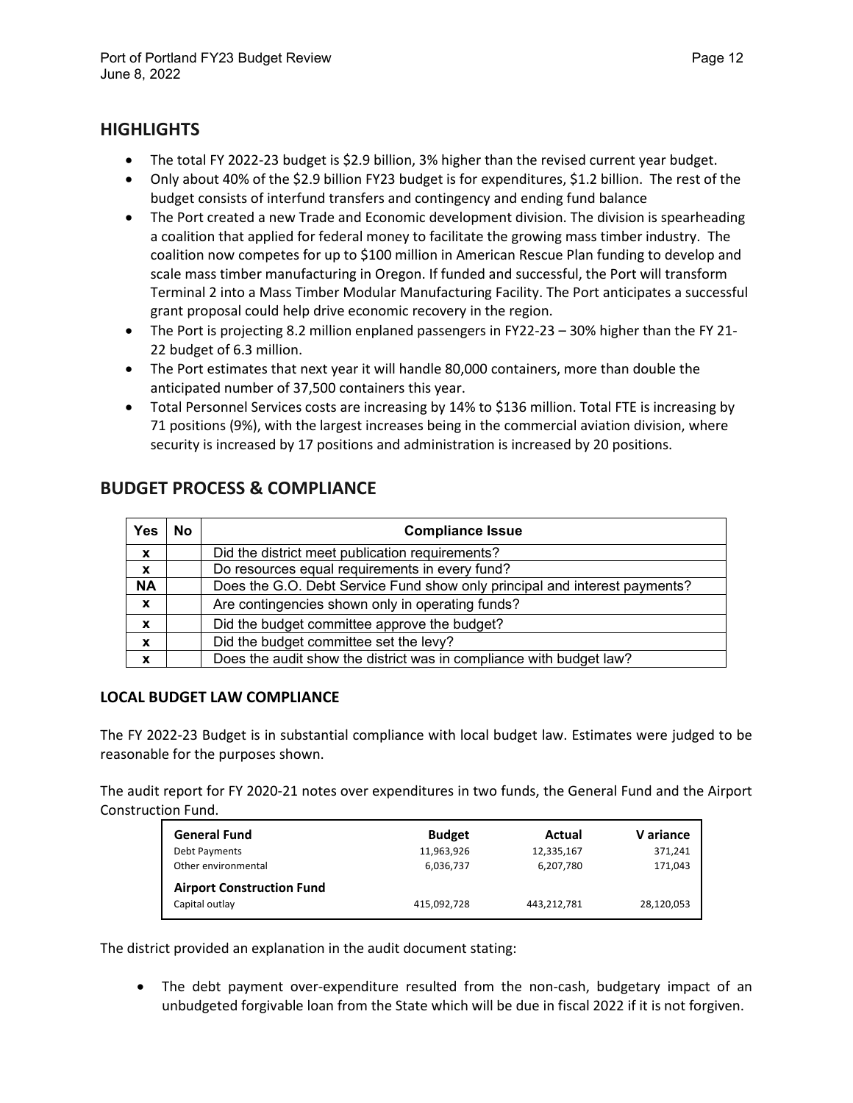# **HIGHLIGHTS**

- The total FY 2022-23 budget is \$2.9 billion, 3% higher than the revised current year budget.
- Only about 40% of the \$2.9 billion FY23 budget is for expenditures, \$1.2 billion. The rest of the budget consists of interfund transfers and contingency and ending fund balance
- The Port created a new Trade and Economic development division. The division is spearheading a coalition that applied for federal money to facilitate the growing mass timber industry. The coalition now competes for up to \$100 million in American Rescue Plan funding to develop and scale mass timber manufacturing in Oregon. If funded and successful, the Port will transform Terminal 2 into a Mass Timber Modular Manufacturing Facility. The Port anticipates a successful grant proposal could help drive economic recovery in the region.
- The Port is projecting 8.2 million enplaned passengers in FY22-23 30% higher than the FY 21- 22 budget of 6.3 million.
- The Port estimates that next year it will handle 80,000 containers, more than double the anticipated number of 37,500 containers this year.
- Total Personnel Services costs are increasing by 14% to \$136 million. Total FTE is increasing by 71 positions (9%), with the largest increases being in the commercial aviation division, where security is increased by 17 positions and administration is increased by 20 positions.

| Yes                       | <b>No</b> | <b>Compliance Issue</b>                                                    |  |  |
|---------------------------|-----------|----------------------------------------------------------------------------|--|--|
| X                         |           | Did the district meet publication requirements?                            |  |  |
| $\mathbf{x}$              |           | Do resources equal requirements in every fund?                             |  |  |
| <b>NA</b>                 |           | Does the G.O. Debt Service Fund show only principal and interest payments? |  |  |
| $\boldsymbol{\mathsf{x}}$ |           | Are contingencies shown only in operating funds?                           |  |  |
| X                         |           | Did the budget committee approve the budget?                               |  |  |
| $\mathbf x$               |           | Did the budget committee set the levy?                                     |  |  |
| X                         |           | Does the audit show the district was in compliance with budget law?        |  |  |

# **BUDGET PROCESS & COMPLIANCE**

## **LOCAL BUDGET LAW COMPLIANCE**

The FY 2022-23 Budget is in substantial compliance with local budget law. Estimates were judged to be reasonable for the purposes shown.

The audit report for FY 2020-21 notes over expenditures in two funds, the General Fund and the Airport Construction Fund.

| <b>General Fund</b>              | <b>Budget</b> | Actual      | V ariance  |
|----------------------------------|---------------|-------------|------------|
| Debt Payments                    | 11,963,926    | 12,335,167  | 371,241    |
| Other environmental              | 6,036,737     | 6,207,780   | 171,043    |
| <b>Airport Construction Fund</b> |               |             |            |
| Capital outlay                   | 415,092,728   | 443,212,781 | 28,120,053 |

The district provided an explanation in the audit document stating:

• The debt payment over-expenditure resulted from the non-cash, budgetary impact of an unbudgeted forgivable loan from the State which will be due in fiscal 2022 if it is not forgiven.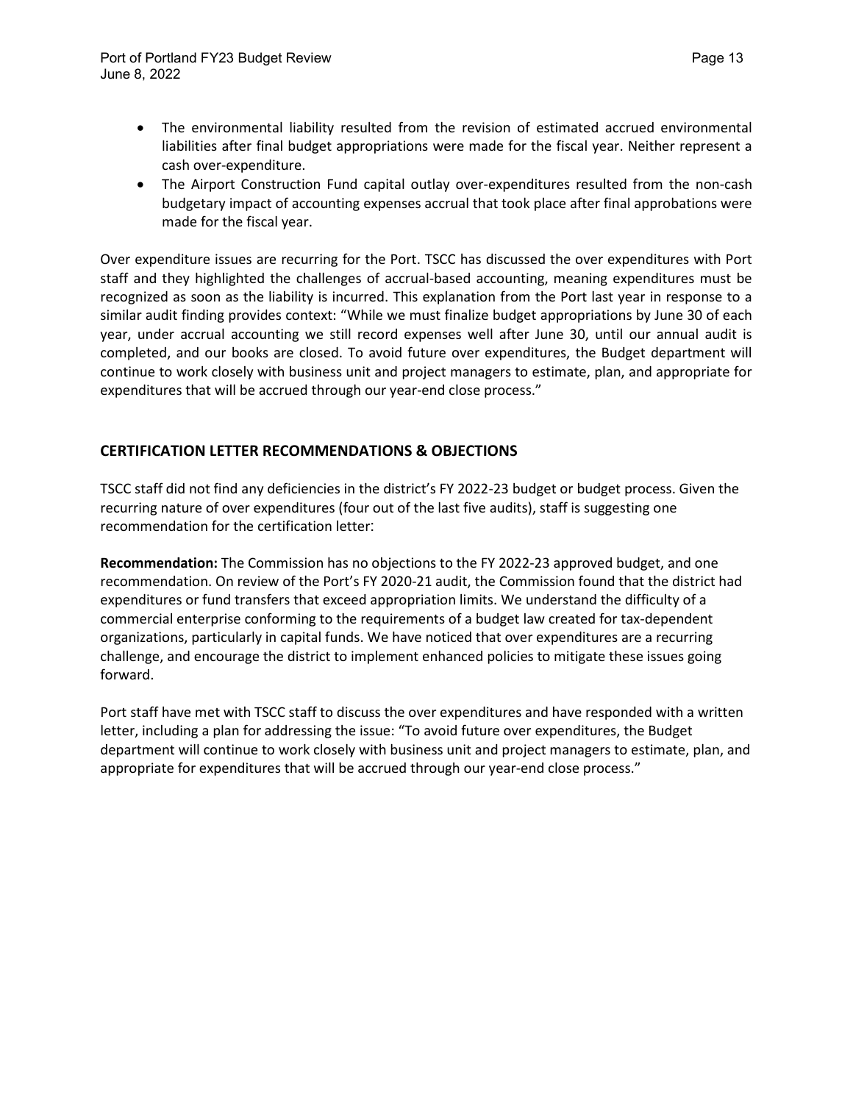- The environmental liability resulted from the revision of estimated accrued environmental liabilities after final budget appropriations were made for the fiscal year. Neither represent a cash over-expenditure.
- The Airport Construction Fund capital outlay over-expenditures resulted from the non-cash budgetary impact of accounting expenses accrual that took place after final approbations were made for the fiscal year.

Over expenditure issues are recurring for the Port. TSCC has discussed the over expenditures with Port staff and they highlighted the challenges of accrual-based accounting, meaning expenditures must be recognized as soon as the liability is incurred. This explanation from the Port last year in response to a similar audit finding provides context: "While we must finalize budget appropriations by June 30 of each year, under accrual accounting we still record expenses well after June 30, until our annual audit is completed, and our books are closed. To avoid future over expenditures, the Budget department will continue to work closely with business unit and project managers to estimate, plan, and appropriate for expenditures that will be accrued through our year-end close process."

## **CERTIFICATION LETTER RECOMMENDATIONS & OBJECTIONS**

TSCC staff did not find any deficiencies in the district's FY 2022-23 budget or budget process. Given the recurring nature of over expenditures (four out of the last five audits), staff is suggesting one recommendation for the certification letter:

**Recommendation:** The Commission has no objections to the FY 2022-23 approved budget, and one recommendation. On review of the Port's FY 2020-21 audit, the Commission found that the district had expenditures or fund transfers that exceed appropriation limits. We understand the difficulty of a commercial enterprise conforming to the requirements of a budget law created for tax-dependent organizations, particularly in capital funds. We have noticed that over expenditures are a recurring challenge, and encourage the district to implement enhanced policies to mitigate these issues going forward.

Port staff have met with TSCC staff to discuss the over expenditures and have responded with a written letter, including a plan for addressing the issue: "To avoid future over expenditures, the Budget department will continue to work closely with business unit and project managers to estimate, plan, and appropriate for expenditures that will be accrued through our year-end close process."